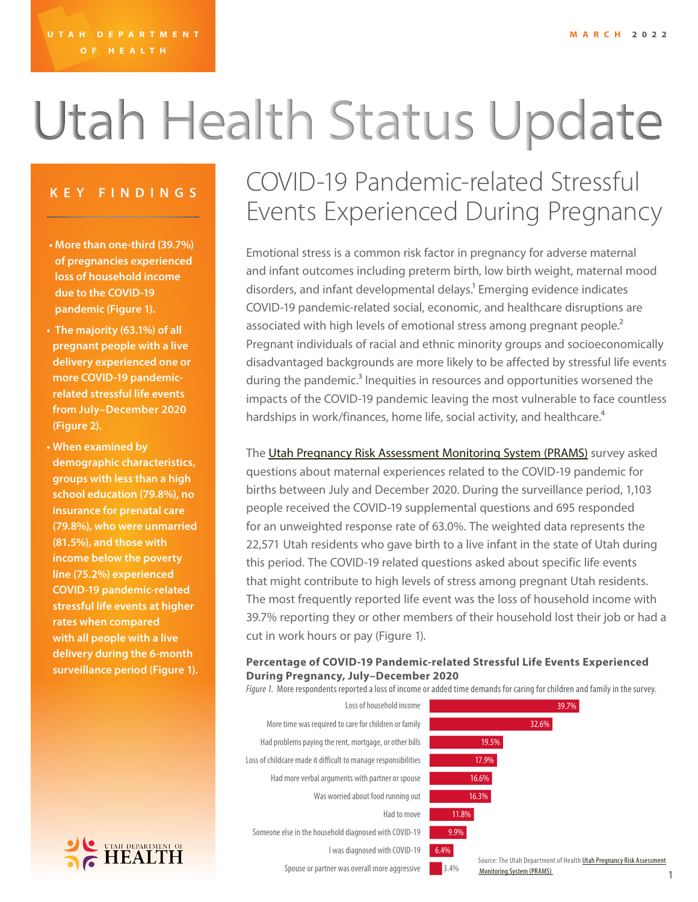# Utah Health Status Update

- **• More than one-third (39.7%) of pregnancies experienced loss of household income due to the COVID-19 pandemic (Figure 1).**
- **• The majority (63.1%) of all pregnant people with a live delivery experienced one or more COVID-19 pandemicrelated stressful life events from July–December 2020 (Figure 2).**
- **• When examined by demographic characteristics, groups with less than a high school education (79.8%), no insurance for prenatal care (79.8%), who were unmarried (81.5%), and those with income below the poverty line (75.2%) experienced COVID-19 pandemic-related stressful life events at higher rates when compared with all people with a live delivery during the 6-month surveillance period (Figure 1).**



### **KEY FINDINGS** COVID-19 Pandemic-related Stressful Events Experienced During Pregnancy

Emotional stress is a common risk factor in pregnancy for adverse maternal and infant outcomes including preterm birth, low birth weight, maternal mood disorders, and infant developmental delays.<sup>1</sup> Emerging evidence indicates COVID-19 pandemic-related social, economic, and healthcare disruptions are associated with high levels of emotional stress among pregnant people.<sup>2</sup> Pregnant individuals of racial and ethnic minority groups and socioeconomically disadvantaged backgrounds are more likely to be affected by stressful life events during the pandemic.<sup>3</sup> Inequities in resources and opportunities worsened the impacts of the COVID-19 pandemic leaving the most vulnerable to face countless hardships in work/finances, home life, social activity, and healthcare.<sup>4</sup>

The [Utah Pregnancy Risk Assessment Monitoring System \(PRAMS\)](https://mihp.utah.gov/pregnancy-and-risk-assessment) survey asked questions about maternal experiences related to the COVID-19 pandemic for births between July and December 2020. During the surveillance period, 1,103 people received the COVID-19 supplemental questions and 695 responded for an unweighted response rate of 63.0%. The weighted data represents the 22,571 Utah residents who gave birth to a live infant in the state of Utah during this period. The COVID-19 related questions asked about specific life events that might contribute to high levels of stress among pregnant Utah residents. The most frequently reported life event was the loss of household income with 39.7% reporting they or other members of their household lost their job or had a cut in work hours or pay (Figure 1).

#### **Percentage of COVID-19 Pandemic-related Stressful Life Events Experienced During Pregnancy, July–December 2020**

*Figure 1.* More respondents reported a loss of income or added time demands for caring for children and family in the survey.

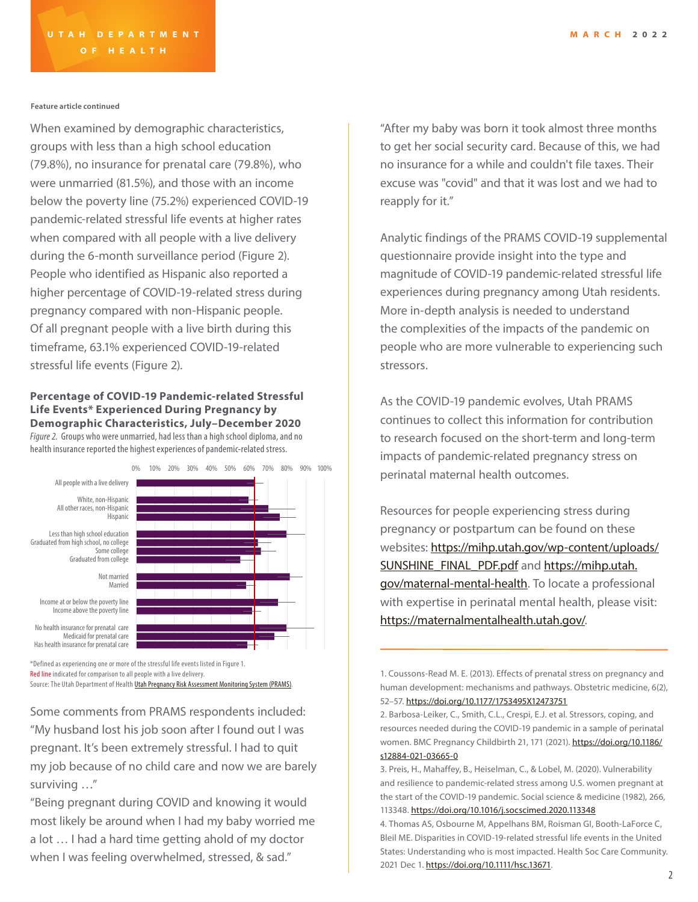#### **Feature article continued**

When examined by demographic characteristics, groups with less than a high school education (79.8%), no insurance for prenatal care (79.8%), who were unmarried (81.5%), and those with an income below the poverty line (75.2%) experienced COVID-19 pandemic-related stressful life events at higher rates when compared with all people with a live delivery during the 6-month surveillance period (Figure 2). People who identified as Hispanic also reported a higher percentage of COVID-19-related stress during pregnancy compared with non-Hispanic people. Of all pregnant people with a live birth during this timeframe, 63.1% experienced COVID-19-related stressful life events (Figure 2).

#### **Percentage of COVID-19 Pandemic-related Stressful Life Events\* Experienced During Pregnancy by Demographic Characteristics, July–December 2020**

*Figure 2.* Groups who were unmarried, had less than a high school diploma, and no health insurance reported the highest experiences of pandemic-related stress.



\*Defined as experiencing one or more of the stressful life events listed in Figure 1. Red line indicated for comparison to all people with a live delivery. Source: The Utah Department of Health *Utah Pregnancy Risk Assessment Monitoring System (PRAMS)*.

Some comments from PRAMS respondents included: "My husband lost his job soon after I found out I was pregnant. It's been extremely stressful. I had to quit my job because of no child care and now we are barely surviving …"

"Being pregnant during COVID and knowing it would most likely be around when I had my baby worried me a lot … I had a hard time getting ahold of my doctor when I was feeling overwhelmed, stressed, & sad."

"After my baby was born it took almost three months to get her social security card. Because of this, we had no insurance for a while and couldn't file taxes. Their excuse was "covid" and that it was lost and we had to reapply for it."

Analytic findings of the PRAMS COVID-19 supplemental questionnaire provide insight into the type and magnitude of COVID-19 pandemic-related stressful life experiences during pregnancy among Utah residents. More in-depth analysis is needed to understand the complexities of the impacts of the pandemic on people who are more vulnerable to experiencing such stressors.

As the COVID-19 pandemic evolves, Utah PRAMS continues to collect this information for contribution to research focused on the short-term and long-term impacts of pandemic-related pregnancy stress on perinatal maternal health outcomes.

Resources for people experiencing stress during pregnancy or postpartum can be found on these websites: [https://mihp.utah.gov/wp-content/uploads/](https://mihp.utah.gov/wp-content/uploads/SUNSHINE_FINAL_PDF.pdf) [SUNSHINE\\_FINAL\\_PDF.pdf](https://mihp.utah.gov/wp-content/uploads/SUNSHINE_FINAL_PDF.pdf) and [https://mihp.utah.](https://mihp.utah.gov/maternal-mental-health) [gov/maternal-mental-health.](https://mihp.utah.gov/maternal-mental-health) To locate a professional with expertise in perinatal mental health, please visit: <https://maternalmentalhealth.utah.gov/>.

1. Coussons-Read M. E. (2013). Effects of prenatal stress on pregnancy and human development: mechanisms and pathways. Obstetric medicine, 6(2), 52–57.<https://doi.org/10.1177/1753495X12473751>

2. Barbosa-Leiker, C., Smith, C.L., Crespi, E.J. et al. Stressors, coping, and resources needed during the COVID-19 pandemic in a sample of perinatal women. BMC Pregnancy Childbirth 21, 171 (2021). [https://doi.org/10.1186/](https://doi.org/10.1186/s12884-021-03665-0) [s12884-021-03665-0](https://doi.org/10.1186/s12884-021-03665-0)

<sup>3.</sup> Preis, H., Mahaffey, B., Heiselman, C., & Lobel, M. (2020). Vulnerability and resilience to pandemic-related stress among U.S. women pregnant at the start of the COVID-19 pandemic. Social science & medicine (1982), 266, 113348. <https://doi.org/10.1016/j.socscimed.2020.113348>

<sup>4.</sup> Thomas AS, Osbourne M, Appelhans BM, Roisman GI, Booth-LaForce C, Bleil ME. Disparities in COVID-19-related stressful life events in the United States: Understanding who is most impacted. Health Soc Care Community. 2021 Dec 1. <https://doi.org/10.1111/hsc.13671>.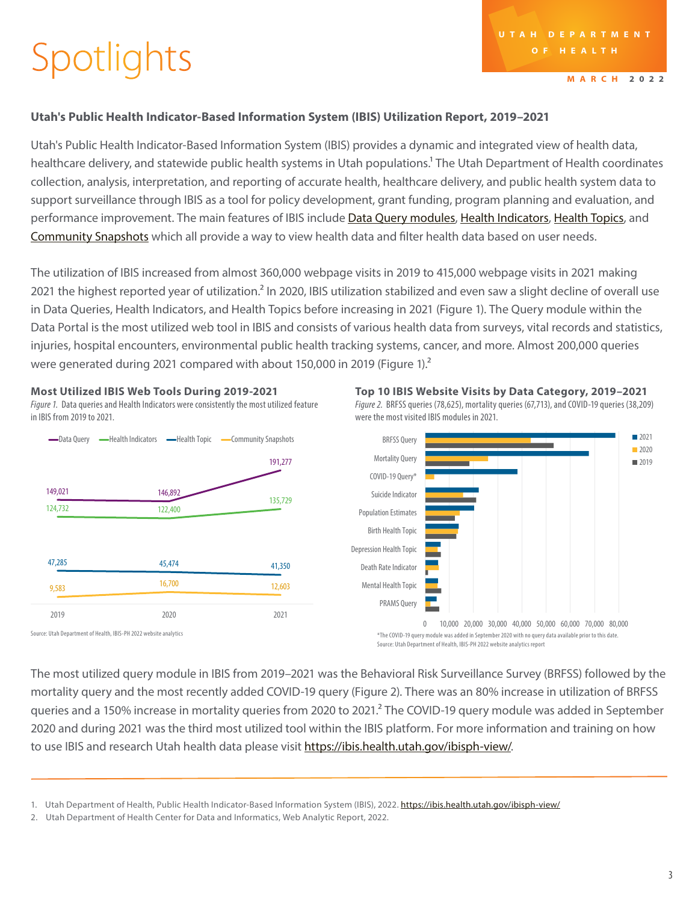## Spotlights

**MARCH 2022**

2021 ■ 2020 ■ 2019

#### **Utah's Public Health Indicator-Based Information System (IBIS) Utilization Report, 2019–2021**

Utah's Public Health Indicator-Based Information System (IBIS) provides a dynamic and integrated view of health data, healthcare delivery, and statewide public health systems in Utah populations.<sup>1</sup> The Utah Department of Health coordinates collection, analysis, interpretation, and reporting of accurate health, healthcare delivery, and public health system data to support surveillance through IBIS as a tool for policy development, grant funding, program planning and evaluation, and performance improvement. The main features of IBIS include [Data Query modules](https://ibis.health.utah.gov/ibisph-view/query/Index.html), [Health Indicators](https://ibis.health.utah.gov/ibisph-view/indicator/index/Alphabetical.html), [Health Topics](https://ibis.health.utah.gov/ibisph-view/topic/Index.html), and [Community Snapshots](https://ibis.health.utah.gov/ibisph-view/community/snapshot/Builder.html) which all provide a way to view health data and filter health data based on user needs.

The utilization of IBIS increased from almost 360,000 webpage visits in 2019 to 415,000 webpage visits in 2021 making 2021 the highest reported year of utilization.<sup>2</sup> In 2020, IBIS utilization stabilized and even saw a slight decline of overall use in Data Queries, Health Indicators, and Health Topics before increasing in 2021 (Figure 1). The Query module within the Data Portal is the most utilized web tool in IBIS and consists of various health data from surveys, vital records and statistics, injuries, hospital encounters, environmental public health tracking systems, cancer, and more. Almost 200,000 queries were generated during 2021 compared with about 150,000 in 2019 (Figure 1). $^2$ 



**Most Utilized IBIS Web Tools During 2019-2021** 

*Figure 1.* Data queries and Health Indicators were consistently the most utilized feature in IBIS from 2019 to 2021.



**Top 10 IBIS Website Visits by Data Category, 2019–2021** *Figure 2.* BRFSS queries (78,625), mortality queries (67,713), and COVID-19 queries (38,209)

The most utilized query module in IBIS from 2019–2021 was the Behavioral Risk Surveillance Survey (BRFSS) followed by the mortality query and the most recently added COVID-19 query (Figure 2). There was an 80% increase in utilization of BRFSS queries and a 150% increase in mortality queries from 2020 to 2021.<sup>2</sup> The COVID-19 query module was added in September 2020 and during 2021 was the third most utilized tool within the IBIS platform. For more information and training on how to use IBIS and research Utah health data please visit<https://ibis.health.utah.gov/ibisph-view/>.

<sup>1.</sup> Utah Department of Health, Public Health Indicator-Based Information System (IBIS), 2022. <https://ibis.health.utah.gov/ibisph-view/>

<sup>2.</sup> Utah Department of Health Center for Data and Informatics, Web Analytic Report, 2022.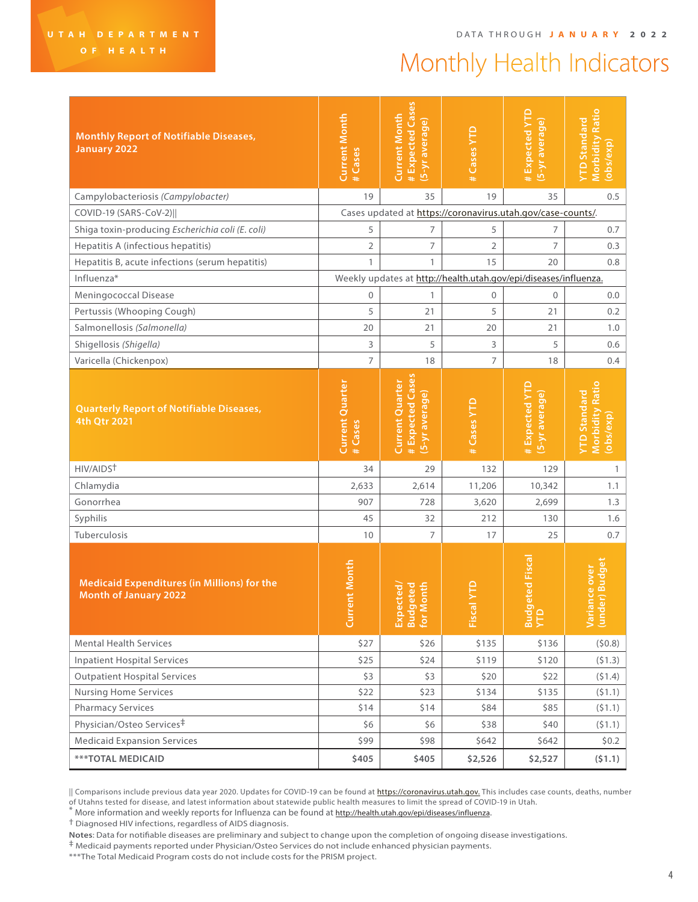## Monthly Health Indicators

| <b>Monthly Report of Notifiable Diseases,</b><br><b>January 2022</b>               | <b>Current Month</b><br># Cases                                  | # Expected Cases<br><b>Current Month</b><br>(5-yr average)          | #Cases YTD     | #Expected YTD<br>(5-yr average)                             | <b>Morbidity Ratio</b><br>YTD Standard<br>(obs/exp)        |  |  |
|------------------------------------------------------------------------------------|------------------------------------------------------------------|---------------------------------------------------------------------|----------------|-------------------------------------------------------------|------------------------------------------------------------|--|--|
| Campylobacteriosis (Campylobacter)                                                 | 19                                                               | 35                                                                  | 19             | 35                                                          | 0.5                                                        |  |  |
| COVID-19 (SARS-CoV-2)                                                              |                                                                  |                                                                     |                | Cases updated at https://coronavirus.utah.gov/case-counts/. |                                                            |  |  |
| Shiga toxin-producing Escherichia coli (E. coli)                                   | 5                                                                | 7                                                                   | 5              | 7                                                           | 0.7                                                        |  |  |
| Hepatitis A (infectious hepatitis)                                                 | 2                                                                | 7                                                                   | $\overline{2}$ | $\overline{7}$                                              | 0.3                                                        |  |  |
| Hepatitis B, acute infections (serum hepatitis)                                    | $\mathbf{1}$                                                     | 1                                                                   | 15             | 20                                                          | 0.8                                                        |  |  |
| Influenza*                                                                         | Weekly updates at http://health.utah.gov/epi/diseases/influenza. |                                                                     |                |                                                             |                                                            |  |  |
| Meningococcal Disease                                                              | $\mathbf{0}$                                                     | 1                                                                   | $\mathbf{0}$   | $\mathbf 0$                                                 | 0.0                                                        |  |  |
| Pertussis (Whooping Cough)                                                         | 5                                                                | 21                                                                  | 5              | 21                                                          | 0.2                                                        |  |  |
| Salmonellosis (Salmonella)                                                         | 20                                                               | 21                                                                  | 20             | 21                                                          | 1.0                                                        |  |  |
| Shigellosis (Shigella)                                                             | 3                                                                | 5                                                                   | 3              | 5                                                           | 0.6                                                        |  |  |
| Varicella (Chickenpox)                                                             | $\overline{7}$                                                   | 18                                                                  | $\overline{7}$ | 18                                                          | 0.4                                                        |  |  |
| <b>Quarterly Report of Notifiable Diseases,</b><br>4th Qtr 2021                    | <b>Current Quarter</b><br>#Cases                                 | # Expected Cases<br><b>Current Quarter</b><br><u>(5-yr average)</u> | # Cases YTD    | #Expected YTD<br>(5-yr average)                             | <b>Morbidity Ratio</b><br><b>YTD Standard</b><br>(obs/exp) |  |  |
| HIV/AIDST                                                                          | 34                                                               | 29                                                                  | 132            | 129                                                         | $\mathbf{1}$                                               |  |  |
| Chlamydia                                                                          | 2,633                                                            | 2,614                                                               | 11,206         | 10,342                                                      | 1.1                                                        |  |  |
| Gonorrhea                                                                          | 907                                                              | 728                                                                 | 3,620          | 2,699                                                       | 1.3                                                        |  |  |
| Syphilis                                                                           | 45                                                               | 32                                                                  | 212            | 130                                                         | 1.6                                                        |  |  |
| Tuberculosis                                                                       | 10                                                               | $\overline{7}$                                                      | 17             | 25                                                          | 0.7                                                        |  |  |
| <b>Medicaid Expenditures (in Millions) for the</b><br><b>Month of January 2022</b> | ent Month<br>Curr                                                | onth<br>eted<br>cted,                                               | Fiscal         | eted Fisca<br><b>Bud</b><br>YTD                             | er) Budget<br>Variance over<br>(under) Budge               |  |  |
| <b>Mental Health Services</b>                                                      | \$27                                                             | \$26                                                                | \$135          | \$136                                                       | (50.8)                                                     |  |  |
| <b>Inpatient Hospital Services</b>                                                 | \$25                                                             | \$24                                                                | \$119          | \$120                                                       | (51.3)                                                     |  |  |
| <b>Outpatient Hospital Services</b>                                                | \$3                                                              | \$3                                                                 | \$20           | \$22                                                        | (51.4)                                                     |  |  |
| <b>Nursing Home Services</b>                                                       | \$22                                                             | \$23                                                                | \$134          | \$135                                                       | (51.1)                                                     |  |  |
| <b>Pharmacy Services</b>                                                           | \$14                                                             | \$14                                                                | \$84           | \$85                                                        | (51.1)                                                     |  |  |
| Physician/Osteo Services <sup>‡</sup>                                              | \$6                                                              | \$6                                                                 | \$38           | \$40                                                        | (51.1)                                                     |  |  |
| <b>Medicaid Expansion Services</b>                                                 | \$99                                                             | \$98                                                                | \$642          | \$642                                                       | \$0.2\$                                                    |  |  |
| <b>***TOTAL MEDICAID</b>                                                           | \$405                                                            | \$405                                                               | \$2,526        | \$2,527                                                     | (51.1)                                                     |  |  |

<sup>||</sup> Comparisons include previous data year 2020. Updates for COVID-19 can be found at **[https://coronavirus.utah.gov.](https://coronavirus.utah.gov)** This includes case counts, deaths, number of Utahns tested for disease, and latest information about statewide public health measures to limit the spread of COVID-19 in Utah.

\* More information and weekly reports for Influenza can be found at<http://health.utah.gov/epi/diseases/influenza>.<br>† Diagnosed HIV infections, regardless of AIDS diagnosis.

**Notes**: Data for notifiable diseases are preliminary and subject to change upon the completion of ongoing disease investigations.

‡ Medicaid payments reported under Physician/Osteo Services do not include enhanced physician payments.

\*\*\*The Total Medicaid Program costs do not include costs for the PRISM project.